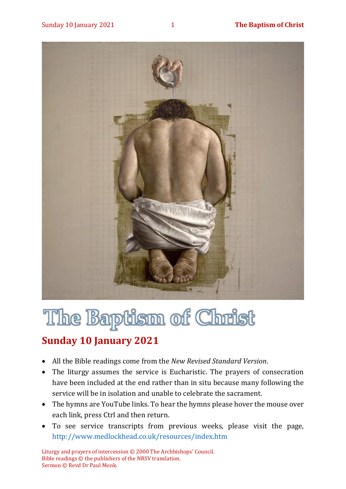

# The Baptism of Christ

### **Sunday 10 January 2021**

- All the Bible readings come from the *New Revised Standard Version*.
- The liturgy assumes the service is Eucharistic. The prayers of consecration have been included at the end rather than in situ because many following the service will be in isolation and unable to celebrate the sacrament.
- The hymns are YouTube links. To hear the hymns please hover the mouse over each link, press Ctrl and then return.
- To see service transcripts from previous weeks, please visit the page, <http://www.medlockhead.co.uk/resources/index.htm>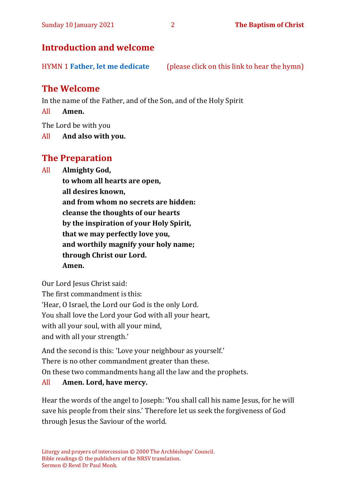#### **Introduction and welcome**

HYMN 1 **Father, let [me dedicate](https://www.youtube.com/watch?v=8ECifOtH0zk)** (please click on this link to hear the hymn)

#### **The Welcome**

In the name of the Father, and of the Son, and of the Holy Spirit

All **Amen.**

The Lord be with you

All **And also with you.**

#### **The Preparation**

All **Almighty God,**

**to whom all hearts are open, all desires known, and from whom no secrets are hidden: cleanse the thoughts of our hearts by the inspiration of your Holy Spirit, that we may perfectly love you, and worthily magnify your holy name; through Christ our Lord. Amen.**

Our Lord Jesus Christ said:

The first commandment is this:

'Hear, O Israel, the Lord our God is the only Lord.

You shall love the Lord your God with all your heart,

with all your soul, with all your mind,

and with all your strength.'

And the second is this: 'Love your neighbour as yourself.'

There is no other commandment greater than these.

On these two commandments hang all the law and the prophets.

#### All **Amen. Lord, have mercy.**

Hear the words of the angel to Joseph: 'You shall call his name Jesus, for he will save his people from their sins.' Therefore let us seek the forgiveness of God through Jesus the Saviour of the world.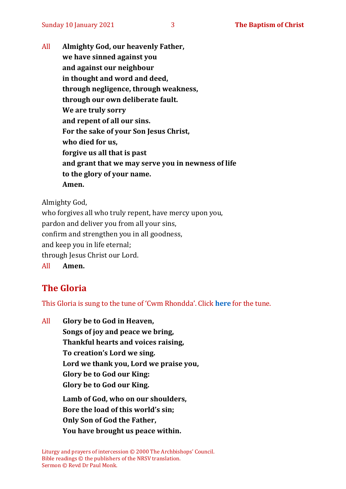All **Almighty God, our heavenly Father, we have sinned against you and against our neighbour in thought and word and deed, through negligence, through weakness, through our own deliberate fault. We are truly sorry and repent of all our sins. For the sake of your Son Jesus Christ, who died for us, forgive us all that is past and grant that we may serve you in newness of life to the glory of your name. Amen.**

Almighty God,

who forgives all who truly repent, have mercy upon you, pardon and deliver you from all your sins, confirm and strengthen you in all goodness, and keep you in life eternal; through Jesus Christ our Lord. All **Amen.**

#### **The Gloria**

This Gloria is sung to the tune of 'Cwm Rhondda'. Click **[here](about:blank)** for the tune.

All **Glory be to God in Heaven, Songs of joy and peace we bring, Thankful hearts and voices raising, To creation's Lord we sing. Lord we thank you, Lord we praise you, Glory be to God our King: Glory be to God our King. Lamb of God, who on our shoulders, Bore the load of this world's sin; Only Son of God the Father, You have brought us peace within.**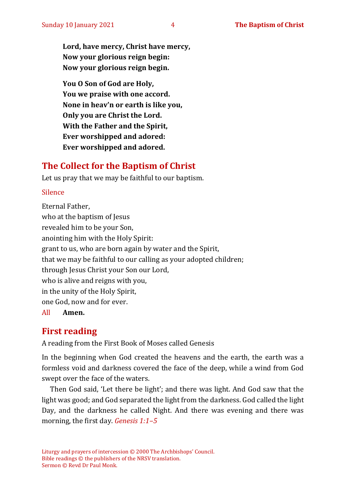**Lord, have mercy, Christ have mercy, Now your glorious reign begin: Now your glorious reign begin.**

**You O Son of God are Holy, You we praise with one accord. None in heav'n or earth is like you, Only you are Christ the Lord. With the Father and the Spirit, Ever worshipped and adored: Ever worshipped and adored.**

#### **The Collect for the Baptism of Christ**

Let us pray that we may be faithful to our baptism.

#### Silence

Eternal Father, who at the baptism of Jesus revealed him to be your Son, anointing him with the Holy Spirit: grant to us, who are born again by water and the Spirit, that we may be faithful to our calling as your adopted children; through Jesus Christ your Son our Lord, who is alive and reigns with you, in the unity of the Holy Spirit, one God, now and for ever.

All **Amen.**

#### **First reading**

A reading from the First Book of Moses called Genesis

In the beginning when God created the heavens and the earth, the earth was a formless void and darkness covered the face of the deep, while a wind from God swept over the face of the waters.

Then God said, 'Let there be light'; and there was light. And God saw that the light was good; and God separated the light from the darkness. God called the light Day, and the darkness he called Night. And there was evening and there was morning, the first day. *Genesis 1:1–5*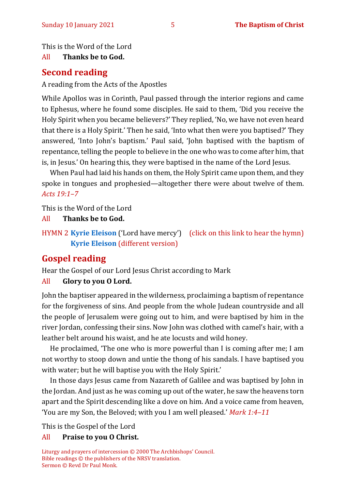This is the Word of the Lord

#### All **Thanks be to God.**

#### **Second reading**

A reading from the Acts of the Apostles

While Apollos was in Corinth, Paul passed through the interior regions and came to Ephesus, where he found some disciples. He said to them, 'Did you receive the Holy Spirit when you became believers?' They replied, 'No, we have not even heard that there is a Holy Spirit.' Then he said, 'Into what then were you baptised?' They answered, 'Into John's baptism.' Paul said, 'John baptised with the baptism of repentance, telling the people to believe in the one who was to come after him, that is, in Jesus.' On hearing this, they were baptised in the name of the Lord Jesus.

When Paul had laid his hands on them, the Holy Spirit came upon them, and they spoke in tongues and prophesied—altogether there were about twelve of them. *Acts 19:1–7*

This is the Word of the Lord

All **Thanks be to God.**

HYMN 2 **[Kyrie Eleison](https://www.youtube.com/watch?v=mAZC4oe9VM0)** ('Lord have mercy') (click on this link to hear the hymn) **[Kyrie Eleison](https://www.youtube.com/watch?v=P59u9KhdNy4)** (different version)

#### **Gospel reading**

Hear the Gospel of our Lord Jesus Christ according to Mark

#### All **Glory to you O Lord.**

John the baptiser appeared in the wilderness, proclaiming a baptism of repentance for the forgiveness of sins. And people from the whole Judean countryside and all the people of Jerusalem were going out to him, and were baptised by him in the river Jordan, confessing their sins. Now John was clothed with camel's hair, with a leather belt around his waist, and he ate locusts and wild honey.

He proclaimed, 'The one who is more powerful than I is coming after me; I am not worthy to stoop down and untie the thong of his sandals. I have baptised you with water; but he will baptise you with the Holy Spirit.'

In those days Jesus came from Nazareth of Galilee and was baptised by John in the Jordan. And just as he was coming up out of the water, he saw the heavens torn apart and the Spirit descending like a dove on him. And a voice came from heaven, 'You are my Son, the Beloved; with you I am well pleased.' *Mark 1:4–11*

This is the Gospel of the Lord

#### All **Praise to you O Christ.**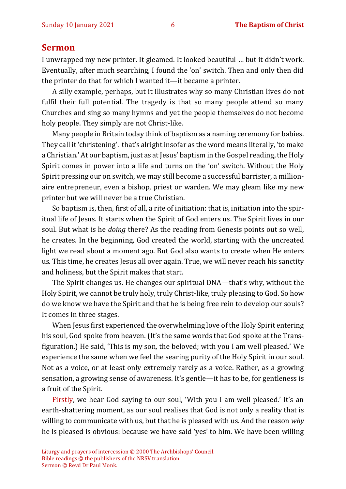#### **Sermon**

I unwrapped my new printer. It gleamed. It looked beautiful … but it didn't work. Eventually, after much searching, I found the 'on' switch. Then and only then did the printer do that for which I wanted it—it became a printer.

A silly example, perhaps, but it illustrates why so many Christian lives do not fulfil their full potential. The tragedy is that so many people attend so many Churches and sing so many hymns and yet the people themselves do not become holy people. They simply are not Christ-like.

Many people in Britain today think of baptism as a naming ceremony for babies. They call it 'christening'. that's alright insofar as the word means literally, 'to make a Christian.' At our baptism, just as at Jesus' baptism in the Gospel reading, the Holy Spirit comes in power into a life and turns on the 'on' switch. Without the Holy Spirit pressing our on switch, we may still become a successful barrister, a millionaire entrepreneur, even a bishop, priest or warden. We may gleam like my new printer but we will never be a true Christian.

So baptism is, then, first of all, a rite of initiation: that is, initiation into the spiritual life of Jesus. It starts when the Spirit of God enters us. The Spirit lives in our soul. But what is he *doing* there? As the reading from Genesis points out so well, he creates. In the beginning, God created the world, starting with the uncreated light we read about a moment ago. But God also wants to create when He enters us. This time, he creates Jesus all over again. True, we will never reach his sanctity and holiness, but the Spirit makes that start.

The Spirit changes us. He changes our spiritual DNA—that's why, without the Holy Spirit, we cannot be truly holy, truly Christ-like, truly pleasing to God. So how do we know we have the Spirit and that he is being free rein to develop our souls? It comes in three stages.

When Jesus first experienced the overwhelming love of the Holy Spirit entering his soul, God spoke from heaven. (It's the same words that God spoke at the Transfiguration.) He said, 'This is my son, the beloved; with you I am well pleased.' We experience the same when we feel the searing purity of the Holy Spirit in our soul. Not as a voice, or at least only extremely rarely as a voice. Rather, as a growing sensation, a growing sense of awareness. It's gentle—it has to be, for gentleness is a fruit of the Spirit.

Firstly, we hear God saying to our soul, 'With you I am well pleased.' It's an earth-shattering moment, as our soul realises that God is not only a reality that is willing to communicate with us, but that he is pleased with us. And the reason *why*  he is pleased is obvious: because we have said 'yes' to him. We have been willing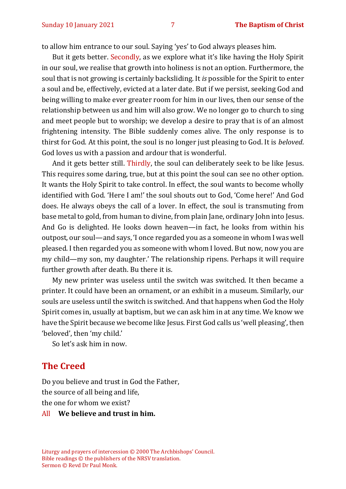to allow him entrance to our soul. Saying 'yes' to God always pleases him.

But it gets better. Secondly, as we explore what it's like having the Holy Spirit in our soul, we realise that growth into holiness is not an option. Furthermore, the soul that is not growing is certainly backsliding. It *is* possible for the Spirit to enter a soul and be, effectively, evicted at a later date. But if we persist, seeking God and being willing to make ever greater room for him in our lives, then our sense of the relationship between us and him will also grow. We no longer go to church to sing and meet people but to worship; we develop a desire to pray that is of an almost frightening intensity. The Bible suddenly comes alive. The only response is to thirst for God. At this point, the soul is no longer just pleasing to God. It is *beloved*. God loves us with a passion and ardour that is wonderful.

And it gets better still. Thirdly, the soul can deliberately seek to be like Jesus. This requires some daring, true, but at this point the soul can see no other option. It wants the Holy Spirit to take control. In effect, the soul wants to become wholly identified with God. 'Here I am!' the soul shouts out to God, 'Come here!' And God does. He always obeys the call of a lover. In effect, the soul is transmuting from base metal to gold, from human to divine, from plain Jane, ordinary John into Jesus. And Go is delighted. He looks down heaven—in fact, he looks from within his outpost, our soul—and says, 'I once regarded you as a someone in whom I was well pleased. I then regarded you as someone with whom I loved. But now, now you are my child—my son, my daughter.' The relationship ripens. Perhaps it will require further growth after death. Bu there it is.

My new printer was useless until the switch was switched. It then became a printer. It could have been an ornament, or an exhibit in a museum. Similarly, our souls are useless until the switch is switched. And that happens when God the Holy Spirit comes in, usually at baptism, but we can ask him in at any time. We know we have the Spirit because we become like Jesus. First God calls us 'well pleasing', then 'beloved', then 'my child.'

So let's ask him in now.

#### **The Creed**

Do you believe and trust in God the Father, the source of all being and life, the one for whom we exist?

#### All **We believe and trust in him.**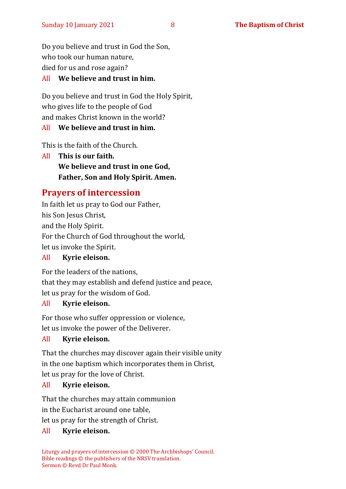Do you believe and trust in God the Son, who took our human nature, died for us and rose again?

#### All **We believe and trust in him.**

Do you believe and trust in God the Holy Spirit, who gives life to the people of God and makes Christ known in the world?

#### All **We believe and trust in him.**

This is the faith of the Church.

All **This is our faith. We believe and trust in one God, Father, Son and Holy Spirit. Amen.**

#### **Prayers of intercession**

In faith let us pray to God our Father, his Son Jesus Christ, and the Holy Spirit. For the Church of God throughout the world, let us invoke the Spirit.

#### All **Kyrie eleison.**

For the leaders of the nations,

that they may establish and defend justice and peace,

let us pray for the wisdom of God.

#### All **Kyrie eleison.**

For those who suffer oppression or violence, let us invoke the power of the Deliverer.

#### All **Kyrie eleison.**

That the churches may discover again their visible unity in the one baptism which incorporates them in Christ, let us pray for the love of Christ.

#### All **Kyrie eleison.**

That the churches may attain communion in the Eucharist around one table,

let us pray for the strength of Christ.

#### All **Kyrie eleison.**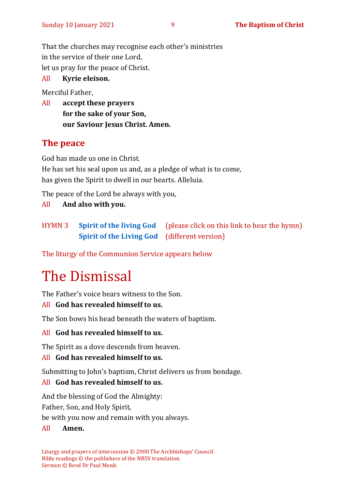That the churches may recognise each other's ministries in the service of their one Lord, let us pray for the peace of Christ.

#### All **Kyrie eleison.**

Merciful Father,

All **accept these prayers for the sake of your Son, our Saviour Jesus Christ. Amen.**

#### **The peace**

God has made us one in Christ. He has set his seal upon us and, as a pledge of what is to come, has given the Spirit to dwell in our hearts. Alleluia.

The peace of the Lord be always with you,

All **And also with you.**

HYMN 3 **[Spirit of the living God](https://www.youtube.com/watch?v=06h3J5FYn-I)** (please click on this link to hear the hymn) **[Spirit of the Living God](https://www.youtube.com/watch?v=ZPZrxZgQjrg)** (different version)

The liturgy of the Communion Service appears below

## The Dismissal

The Father's voice bears witness to the Son.

#### All **God has revealed himself to us.**

The Son bows his head beneath the waters of baptism.

#### All **God has revealed himself to us.**

The Spirit as a dove descends from heaven.

#### All **God has revealed himself to us.**

Submitting to John's baptism, Christ delivers us from bondage.

#### All **God has revealed himself to us.**

And the blessing of God the Almighty:

Father, Son, and Holy Spirit,

be with you now and remain with you always.

All **Amen.**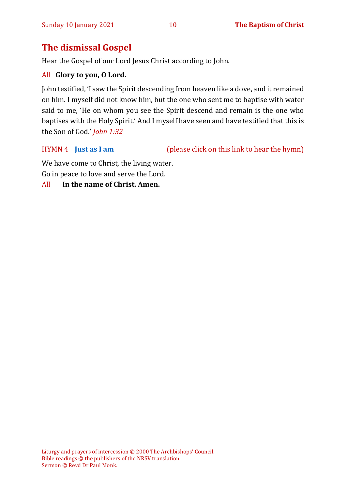#### **The dismissal Gospel**

Hear the Gospel of our Lord Jesus Christ according to John.

#### All **Glory to you, O Lord.**

John testified, 'I saw the Spirit descending from heaven like a dove, and it remained on him. I myself did not know him, but the one who sent me to baptise with water said to me, 'He on whom you see the Spirit descend and remain is the one who baptises with the Holy Spirit.' And I myself have seen and have testified that this is the Son of God.' *John 1:32*

HYMN 4 **[Just as I am](https://www.youtube.com/watch?v=6tdmQh-MIIA)** (please click on this link to hear the hymn)

We have come to Christ, the living water. Go in peace to love and serve the Lord.

#### All **In the name of Christ. Amen.**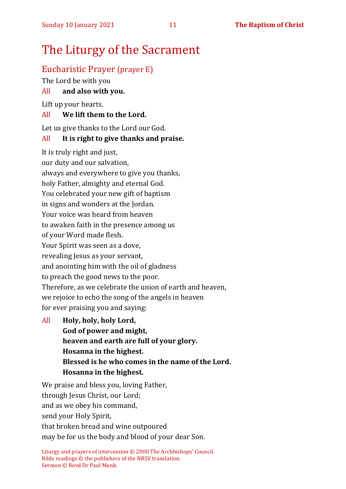### The Liturgy of the Sacrament

#### Eucharistic Prayer (prayer E)

The Lord be with you

#### All **and also with you.**

Lift up your hearts.

#### All **We lift them to the Lord.**

Let us give thanks to the Lord our God.

#### All **It is right to give thanks and praise.**

It is truly right and just,

our duty and our salvation,

always and everywhere to give you thanks,

holy Father, almighty and eternal God.

You celebrated your new gift of baptism

in signs and wonders at the Jordan.

Your voice was heard from heaven

to awaken faith in the presence among us

of your Word made flesh.

Your Spirit was seen as a dove,

revealing Jesus as your servant,

and anointing him with the oil of gladness

to preach the good news to the poor.

Therefore, as we celebrate the union of earth and heaven,

we rejoice to echo the song of the angels in heaven

for ever praising you and saying:

All **Holy, holy, holy Lord, God of power and might, heaven and earth are full of your glory. Hosanna in the highest. Blessed is he who comes in the name of the Lord. Hosanna in the highest.**

We praise and bless you, loving Father, through Jesus Christ, our Lord; and as we obey his command, send your Holy Spirit, that broken bread and wine outpoured may be for us the body and blood of your dear Son.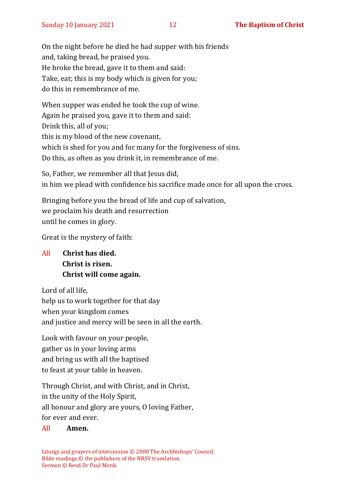On the night before he died he had supper with his friends and, taking bread, he praised you. He broke the bread, gave it to them and said: Take, eat; this is my body which is given for you; do this in remembrance of me.

When supper was ended he took the cup of wine. Again he praised you, gave it to them and said: Drink this, all of you; this is my blood of the new covenant, which is shed for you and for many for the forgiveness of sins. Do this, as often as you drink it, in remembrance of me.

So, Father, we remember all that Jesus did, in him we plead with confidence his sacrifice made once for all upon the cross.

Bringing before you the bread of life and cup of salvation, we proclaim his death and resurrection until he comes in glory.

Great is the mystery of faith:

All **Christ has died. Christ is risen. Christ will come again.**

Lord of all life,

help us to work together for that day when your kingdom comes and justice and mercy will be seen in all the earth.

Look with favour on your people, gather us in your loving arms and bring us with all the baptised to feast at your table in heaven.

Through Christ, and with Christ, and in Christ, in the unity of the Holy Spirit, all honour and glory are yours, O loving Father, for ever and ever.

#### All **Amen.**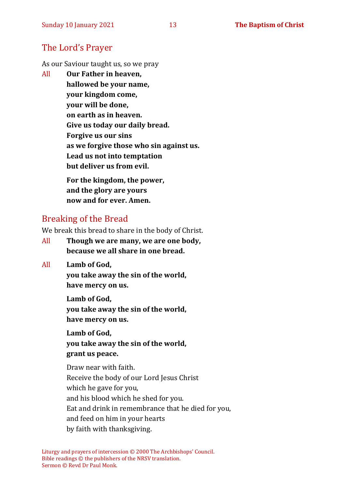#### The Lord's Prayer

As our Saviour taught us, so we pray

All **Our Father in heaven, hallowed be your name, your kingdom come, your will be done, on earth as in heaven. Give us today our daily bread. Forgive us our sins as we forgive those who sin against us. Lead us not into temptation but deliver us from evil. For the kingdom, the power,** 

**and the glory are yours now and for ever. Amen.**

#### Breaking of the Bread

We break this bread to share in the body of Christ.

- All **Though we are many, we are one body, because we all share in one bread.**
- All **Lamb of God,**

**you take away the sin of the world, have mercy on us.**

**Lamb of God, you take away the sin of the world, have mercy on us.**

**Lamb of God, you take away the sin of the world, grant us peace.**

Draw near with faith. Receive the body of our Lord Jesus Christ which he gave for you, and his blood which he shed for you. Eat and drink in remembrance that he died for you, and feed on him in your hearts by faith with thanksgiving.